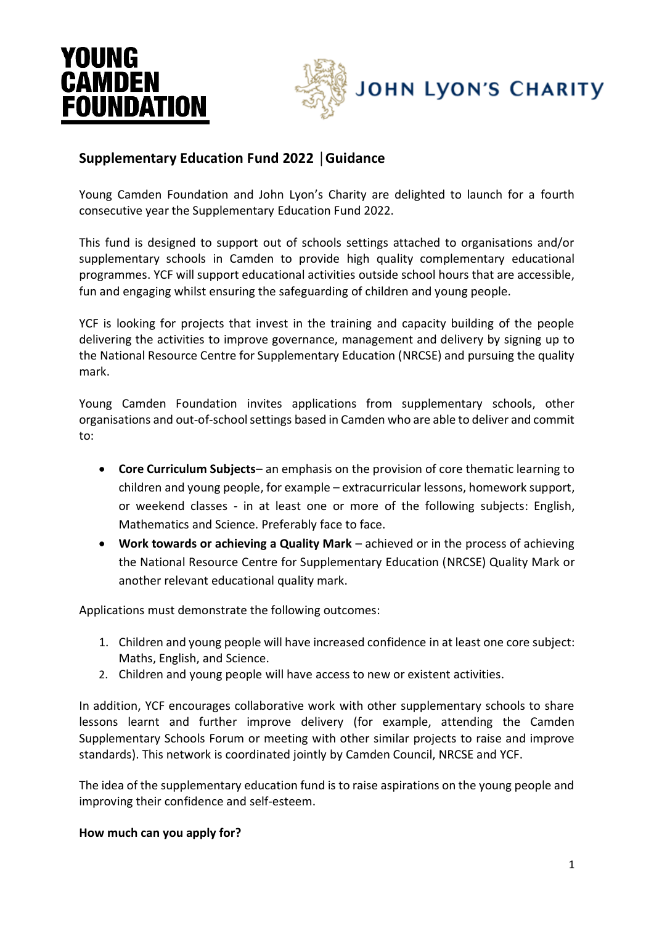# YOUNG **CAMDEN FOUNDATION**



# **Supplementary Education Fund 2022 │Guidance**

Young Camden Foundation and John Lyon's Charity are delighted to launch for a fourth consecutive year the Supplementary Education Fund 2022.

This fund is designed to support out of schools settings attached to organisations and/or supplementary schools in Camden to provide high quality complementary educational programmes. YCF will support educational activities outside school hours that are accessible, fun and engaging whilst ensuring the safeguarding of children and young people.

YCF is looking for projects that invest in the training and capacity building of the people delivering the activities to improve governance, management and delivery by signing up to the National Resource Centre for Supplementary Education (NRCSE) and pursuing the quality mark.

Young Camden Foundation invites applications from supplementary schools, other organisations and out-of-school settings based in Camden who are able to deliver and commit to:

- **Core Curriculum Subjects** an emphasis on the provision of core thematic learning to children and young people, for example – extracurricular lessons, homework support, or weekend classes - in at least one or more of the following subjects: English, Mathematics and Science. Preferably face to face.
- **Work towards or achieving a Quality Mark** achieved or in the process of achieving the National Resource Centre for Supplementary Education (NRCSE) Quality Mark or another relevant educational quality mark.

Applications must demonstrate the following outcomes:

- 1. Children and young people will have increased confidence in at least one core subject: Maths, English, and Science.
- 2. Children and young people will have access to new or existent activities.

In addition, YCF encourages collaborative work with other supplementary schools to share lessons learnt and further improve delivery (for example, attending the Camden Supplementary Schools Forum or meeting with other similar projects to raise and improve standards). This network is coordinated jointly by Camden Council, NRCSE and YCF.

The idea of the supplementary education fund is to raise aspirations on the young people and improving their confidence and self-esteem.

#### **How much can you apply for?**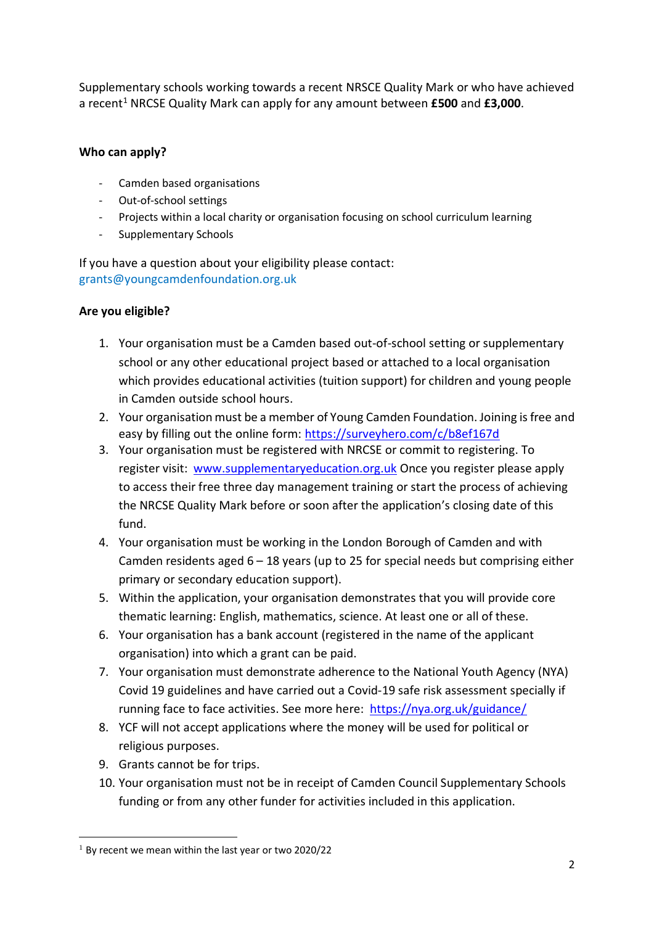Supplementary schools working towards a recent NRSCE Quality Mark or who have achieved a recent<sup>1</sup> NRCSE Quality Mark can apply for any amount between £500 and £3,000.

#### **Who can apply?**

- Camden based organisations
- Out-of-school settings
- Projects within a local charity or organisation focusing on school curriculum learning
- Supplementary Schools

If you have a question about your eligibility please contact: grants@youngcamdenfoundation.org.uk

## **Are you eligible?**

- 1. Your organisation must be a Camden based out-of-school setting or supplementary school or any other educational project based or attached to a local organisation which provides educational activities (tuition support) for children and young people in Camden outside school hours.
- 2. Your organisation must be a member of Young Camden Foundation. Joining is free and easy by filling out the online form:<https://surveyhero.com/c/b8ef167d>
- 3. Your organisation must be registered with NRCSE or commit to registering. To register visit: [www.supplementaryeducation.org.uk](https://www.supplementaryeducation.org.uk/contact/#:~:text=The%20National%20Resource%20Centre%20for%20Supplementary%20Education%20is,developmental%20quality%20assurance%20for%20the%20supplementary%20education%20sector.) Once you register please apply to access their free three day management training or start the process of achieving the NRCSE Quality Mark before or soon after the application's closing date of this fund.
- 4. Your organisation must be working in the London Borough of Camden and with Camden residents aged  $6 - 18$  years (up to 25 for special needs but comprising either primary or secondary education support).
- 5. Within the application, your organisation demonstrates that you will provide core thematic learning: English, mathematics, science. At least one or all of these.
- 6. Your organisation has a bank account (registered in the name of the applicant organisation) into which a grant can be paid.
- 7. Your organisation must demonstrate adherence to the National Youth Agency (NYA) Covid 19 guidelines and have carried out a Covid-19 safe risk assessment specially if running face to face activities. See more here: <https://nya.org.uk/guidance/>
- 8. YCF will not accept applications where the money will be used for political or religious purposes.
- 9. Grants cannot be for trips.

<u>.</u>

10. Your organisation must not be in receipt of Camden Council Supplementary Schools funding or from any other funder for activities included in this application.

 $1$  By recent we mean within the last year or two 2020/22